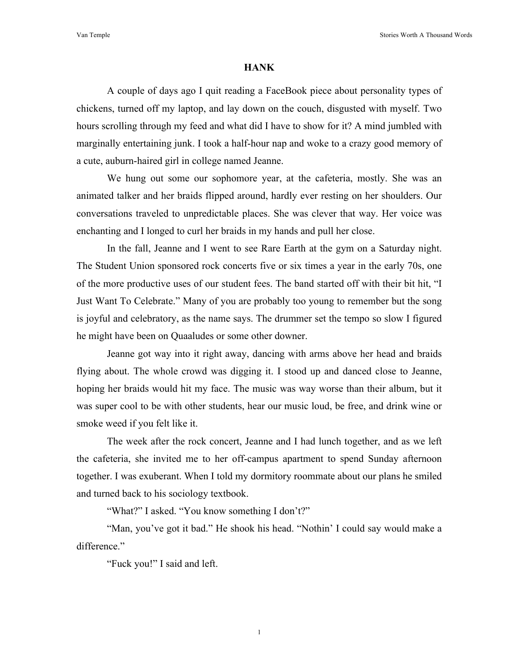## **HANK**

A couple of days ago I quit reading a FaceBook piece about personality types of chickens, turned off my laptop, and lay down on the couch, disgusted with myself. Two hours scrolling through my feed and what did I have to show for it? A mind jumbled with marginally entertaining junk. I took a half-hour nap and woke to a crazy good memory of a cute, auburn-haired girl in college named Jeanne.

We hung out some our sophomore year, at the cafeteria, mostly. She was an animated talker and her braids flipped around, hardly ever resting on her shoulders. Our conversations traveled to unpredictable places. She was clever that way. Her voice was enchanting and I longed to curl her braids in my hands and pull her close.

In the fall, Jeanne and I went to see Rare Earth at the gym on a Saturday night. The Student Union sponsored rock concerts five or six times a year in the early 70s, one of the more productive uses of our student fees. The band started off with their bit hit, "I Just Want To Celebrate." Many of you are probably too young to remember but the song is joyful and celebratory, as the name says. The drummer set the tempo so slow I figured he might have been on Quaaludes or some other downer.

Jeanne got way into it right away, dancing with arms above her head and braids flying about. The whole crowd was digging it. I stood up and danced close to Jeanne, hoping her braids would hit my face. The music was way worse than their album, but it was super cool to be with other students, hear our music loud, be free, and drink wine or smoke weed if you felt like it.

The week after the rock concert, Jeanne and I had lunch together, and as we left the cafeteria, she invited me to her off-campus apartment to spend Sunday afternoon together. I was exuberant. When I told my dormitory roommate about our plans he smiled and turned back to his sociology textbook.

"What?" I asked. "You know something I don't?"

"Man, you've got it bad." He shook his head. "Nothin' I could say would make a difference."

"Fuck you!" I said and left.

1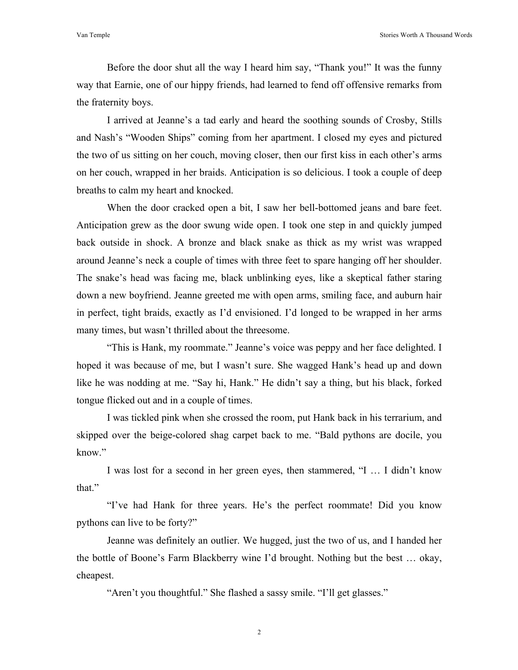Van Temple Stories Worth A Thousand Words

Before the door shut all the way I heard him say, "Thank you!" It was the funny way that Earnie, one of our hippy friends, had learned to fend off offensive remarks from the fraternity boys.

I arrived at Jeanne's a tad early and heard the soothing sounds of Crosby, Stills and Nash's "Wooden Ships" coming from her apartment. I closed my eyes and pictured the two of us sitting on her couch, moving closer, then our first kiss in each other's arms on her couch, wrapped in her braids. Anticipation is so delicious. I took a couple of deep breaths to calm my heart and knocked.

When the door cracked open a bit, I saw her bell-bottomed jeans and bare feet. Anticipation grew as the door swung wide open. I took one step in and quickly jumped back outside in shock. A bronze and black snake as thick as my wrist was wrapped around Jeanne's neck a couple of times with three feet to spare hanging off her shoulder. The snake's head was facing me, black unblinking eyes, like a skeptical father staring down a new boyfriend. Jeanne greeted me with open arms, smiling face, and auburn hair in perfect, tight braids, exactly as I'd envisioned. I'd longed to be wrapped in her arms many times, but wasn't thrilled about the threesome.

"This is Hank, my roommate." Jeanne's voice was peppy and her face delighted. I hoped it was because of me, but I wasn't sure. She wagged Hank's head up and down like he was nodding at me. "Say hi, Hank." He didn't say a thing, but his black, forked tongue flicked out and in a couple of times.

I was tickled pink when she crossed the room, put Hank back in his terrarium, and skipped over the beige-colored shag carpet back to me. "Bald pythons are docile, you know."

I was lost for a second in her green eyes, then stammered, "I … I didn't know that."

"I've had Hank for three years. He's the perfect roommate! Did you know pythons can live to be forty?"

Jeanne was definitely an outlier. We hugged, just the two of us, and I handed her the bottle of Boone's Farm Blackberry wine I'd brought. Nothing but the best … okay, cheapest.

"Aren't you thoughtful." She flashed a sassy smile. "I'll get glasses."

2